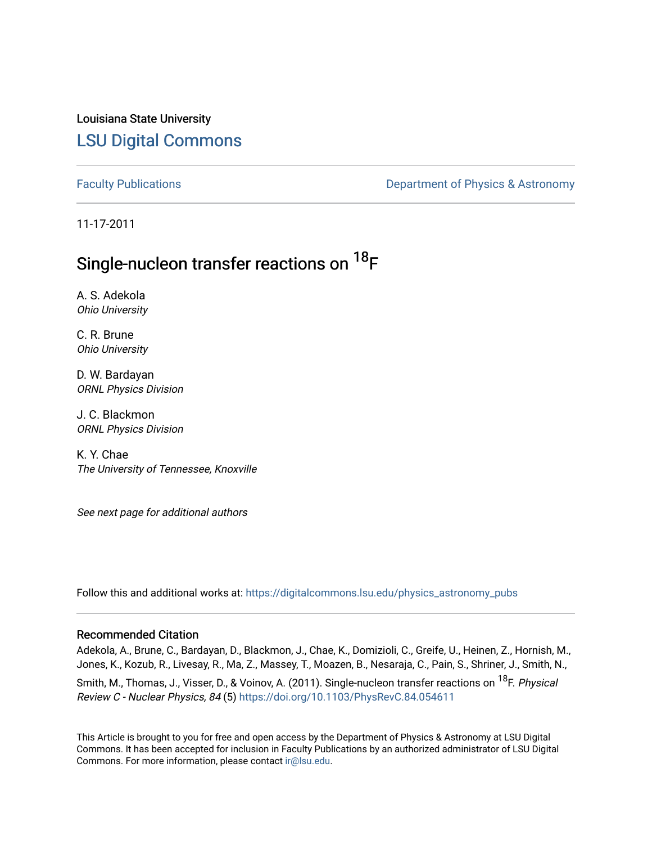Louisiana State University [LSU Digital Commons](https://digitalcommons.lsu.edu/)

[Faculty Publications](https://digitalcommons.lsu.edu/physics_astronomy_pubs) **Exercise 2 and Table 2 and Table 2 and Table 2 and Table 2 and Table 2 and Table 2 and Table 2 and Table 2 and Table 2 and Table 2 and Table 2 and Table 2 and Table 2 and Table 2 and Table 2 and Table** 

11-17-2011

## Single-nucleon transfer reactions on <sup>18</sup>F

A. S. Adekola Ohio University

C. R. Brune Ohio University

D. W. Bardayan ORNL Physics Division

J. C. Blackmon ORNL Physics Division

K. Y. Chae The University of Tennessee, Knoxville

See next page for additional authors

Follow this and additional works at: [https://digitalcommons.lsu.edu/physics\\_astronomy\\_pubs](https://digitalcommons.lsu.edu/physics_astronomy_pubs?utm_source=digitalcommons.lsu.edu%2Fphysics_astronomy_pubs%2F266&utm_medium=PDF&utm_campaign=PDFCoverPages) 

#### Recommended Citation

Adekola, A., Brune, C., Bardayan, D., Blackmon, J., Chae, K., Domizioli, C., Greife, U., Heinen, Z., Hornish, M., Jones, K., Kozub, R., Livesay, R., Ma, Z., Massey, T., Moazen, B., Nesaraja, C., Pain, S., Shriner, J., Smith, N., Smith, M., Thomas, J., Visser, D., & Voinov, A. (2011). Single-nucleon transfer reactions on <sup>18</sup>F. Physical Review C - Nuclear Physics, 84 (5) <https://doi.org/10.1103/PhysRevC.84.054611>

This Article is brought to you for free and open access by the Department of Physics & Astronomy at LSU Digital Commons. It has been accepted for inclusion in Faculty Publications by an authorized administrator of LSU Digital Commons. For more information, please contact [ir@lsu.edu](mailto:ir@lsu.edu).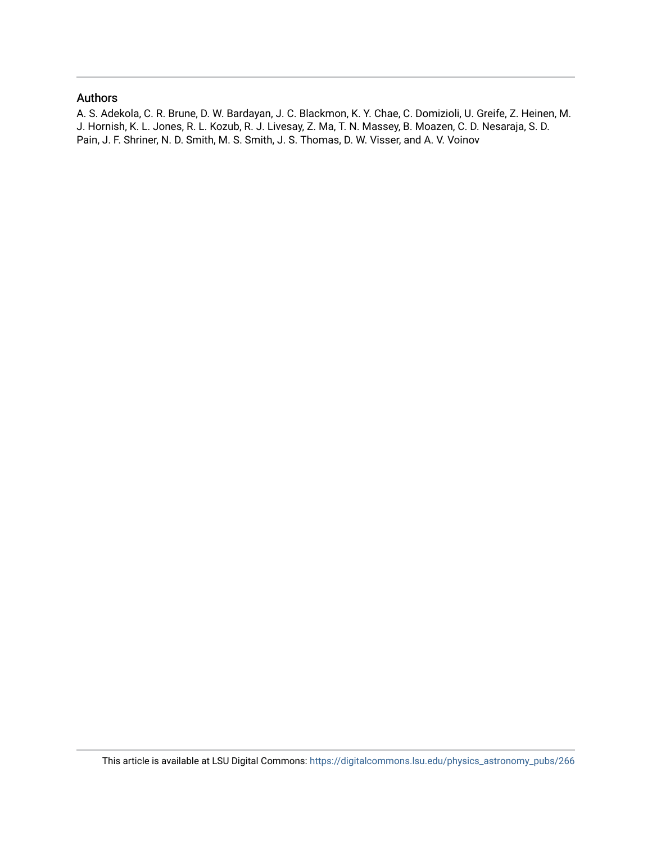#### Authors

A. S. Adekola, C. R. Brune, D. W. Bardayan, J. C. Blackmon, K. Y. Chae, C. Domizioli, U. Greife, Z. Heinen, M. J. Hornish, K. L. Jones, R. L. Kozub, R. J. Livesay, Z. Ma, T. N. Massey, B. Moazen, C. D. Nesaraja, S. D. Pain, J. F. Shriner, N. D. Smith, M. S. Smith, J. S. Thomas, D. W. Visser, and A. V. Voinov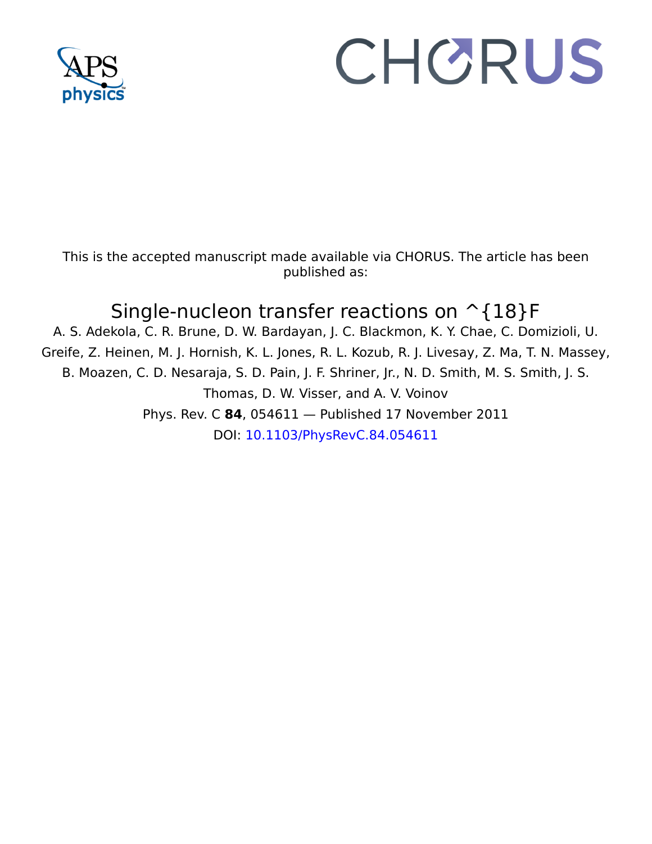

# CHORUS

This is the accepted manuscript made available via CHORUS. The article has been published as:

## Single-nucleon transfer reactions on  $\hat{ }$  {18}F

A. S. Adekola, C. R. Brune, D. W. Bardayan, J. C. Blackmon, K. Y. Chae, C. Domizioli, U. Greife, Z. Heinen, M. J. Hornish, K. L. Jones, R. L. Kozub, R. J. Livesay, Z. Ma, T. N. Massey, B. Moazen, C. D. Nesaraja, S. D. Pain, J. F. Shriner, Jr., N. D. Smith, M. S. Smith, J. S. Thomas, D. W. Visser, and A. V. Voinov Phys. Rev. C **84**, 054611 — Published 17 November 2011 DOI: [10.1103/PhysRevC.84.054611](http://dx.doi.org/10.1103/PhysRevC.84.054611)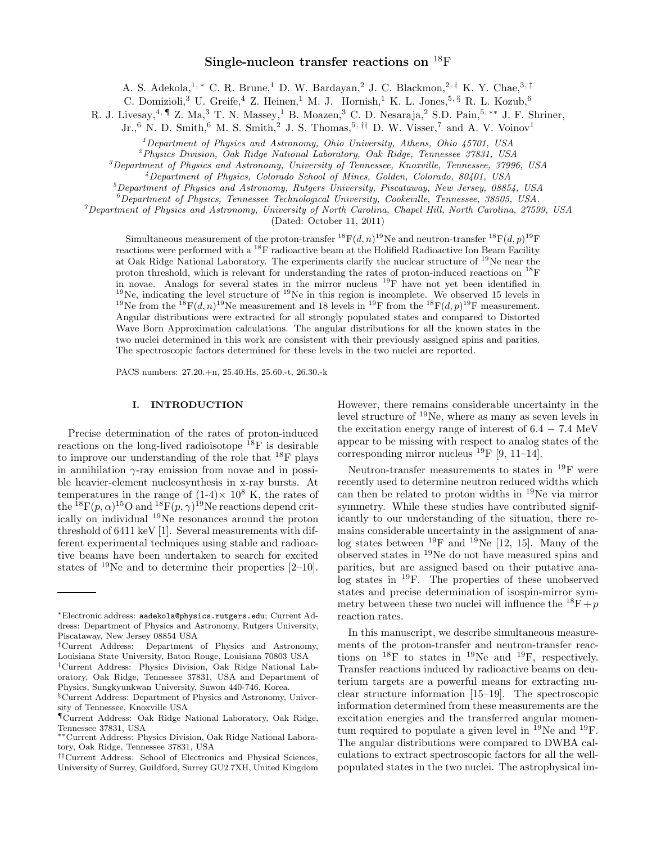#### Single-nucleon transfer reactions on <sup>18</sup>F

A. S. Adekola,<sup>1, \*</sup> C. R. Brune,<sup>1</sup> D. W. Bardayan,<sup>2</sup> J. C. Blackmon,<sup>2,†</sup> K. Y. Chae,<sup>3,‡</sup>

C. Domizioli,<sup>3</sup> U. Greife,<sup>4</sup> Z. Heinen,<sup>1</sup> M. J. Hornish,<sup>1</sup> K. L. Jones,<sup>5, §</sup> R. L. Kozub,<sup>6</sup>

R. J. Livesay,  $^{4, \P}$  Z. Ma, $^{3}$  T. N. Massey,  $^{1}$  B. Moazen,  $^{3}$  C. D. Nesaraja,  $^{2}$  S.D. Pain,  $^{5, **}$  J. F. Shriner,

 $Jr.^6$  N. D. Smith,<sup>6</sup> M. S. Smith,<sup>2</sup> J. S. Thomas,<sup>5, ††</sup> D. W. Visser,<sup>7</sup> and A. V. Voinov<sup>1</sup>

<sup>1</sup>Department of Physics and Astronomy, Ohio University, Athens, Ohio  $45701$ , USA

<sup>2</sup>Physics Division, Oak Ridge National Laboratory, Oak Ridge, Tennessee 37831, USA

 $3$ Department of Physics and Astronomy, University of Tennessee, Knoxville, Tennessee, 37996, USA

<sup>4</sup>Department of Physics, Colorado School of Mines, Golden, Colorado, 80401, USA

<sup>5</sup>Department of Physics and Astronomy, Rutgers University, Piscataway, New Jersey, 08854, USA

 $^6$ Department of Physics, Tennessee Technological University, Cookeville, Tennessee, 38505, USA.

 $^7$ Department of Physics and Astronomy, University of North Carolina, Chapel Hill, North Carolina, 27599, USA

(Dated: October 11, 2011)

The Ridge National Laboratory. The experiments clarify the nuclear steps<br>
Relige National Laboratory. The experiments clarify the nuclear steps<br>
that there are the life of proton-<br>
The expectation in the life of a proposi Simultaneous measurement of the<br>proton- $\Gamma(1, 2011)$  (Natole October 11, 2011) No and neutron-transfer<br><sup>343</sup> $\Gamma(d_1, 201)$  readed<br>in the specifical manuscrity. The experiments darify the machinary<br>proformation measurement Simultaneous measurement of the proton-transfer  ${}^{18}F(d, n)$ <sup>19</sup>Ne and neutron-transfer  ${}^{18}F(d, p)$ <sup>19</sup>F reactions were performed with a <sup>18</sup>F radioactive beam at the Holifield Radioactive Ion Beam Facility at Oak Ridge National Laboratory. The experiments clarify the nuclear structure of <sup>19</sup>Ne near the proton threshold, which is relevant for understanding the rates of proton-induced reactions on  $^{18}$ F in novae. Analogs for several states in the mirror nucleus  $^{19}$ F have not yet been identified in  $19$ Ne, indicating the level structure of  $19$ Ne in this region is incomplete. We observed 15 levels in <sup>19</sup>Ne from the <sup>18</sup>F(d, n)<sup>19</sup>Ne measurement and 18 levels in <sup>19</sup>F from the <sup>18</sup>F(d, p)<sup>19</sup>F measurement. Angular distributions were extracted for all strongly populated states and compared to Distorted Wave Born Approximation calculations. The angular distributions for all the known states in the two nuclei determined in this work are consistent with their previously assigned spins and parities. The spectroscopic factors determined for these levels in the two nuclei are reported.

PACS numbers: 27.20.+n, 25.40.Hs, 25.60.-t, 26.30.-k

#### I. INTRODUCTION

Precise determination of the rates of proton-induced reactions on the long-lived radioisotope  $^{18}$ F is desirable to improve our understanding of the role that <sup>18</sup>F plays in annihilation  $\gamma$ -ray emission from novae and in possible heavier-element nucleosynthesis in x-ray bursts. At temperatures in the range of  $(1-4) \times 10^8$  K, the rates of the  $^{18}F(p,\alpha)^{15}O$  and  $^{18}F(p,\gamma)^{19}Ne$  reactions depend critically on individual <sup>19</sup>Ne resonances around the proton threshold of 6411 keV [1]. Several measurements with different experimental techniques using stable and radioactive beams have been undertaken to search for excited states of  $19$ Ne and to determine their properties [2–10].

However, there remains considerable uncertainty in the level structure of <sup>19</sup>Ne, where as many as seven levels in the excitation energy range of interest of  $6.4 - 7.4$  MeV appear to be missing with respect to analog states of the corresponding mirror nucleus  $^{19}$ F [9, 11–14].

Neutron-transfer measurements to states in <sup>19</sup>F were recently used to determine neutron reduced widths which can then be related to proton widths in <sup>19</sup>Ne via mirror symmetry. While these studies have contributed significantly to our understanding of the situation, there remains considerable uncertainty in the assignment of analog states between <sup>19</sup>F and <sup>19</sup>Ne [12, 15]. Many of the observed states in <sup>19</sup>Ne do not have measured spins and parities, but are assigned based on their putative analog states in <sup>19</sup>F. The properties of these unobserved states and precise determination of isospin-mirror symmetry between these two nuclei will influence the  ${}^{18}F + p$ reaction rates.

In this manuscript, we describe simultaneous measurements of the proton-transfer and neutron-transfer reactions on  $^{18}$ F to states in  $^{19}$ Ne and  $^{19}$ F, respectively. Transfer reactions induced by radioactive beams on deuterium targets are a powerful means for extracting nuclear structure information [15–19]. The spectroscopic information determined from these measurements are the excitation energies and the transferred angular momentum required to populate a given level in  $^{19}$ Ne and  $^{19}$ F. The angular distributions were compared to DWBA calculations to extract spectroscopic factors for all the wellpopulated states in the two nuclei. The astrophysical im-

<sup>∗</sup>Electronic address: aadekola@physics.rutgers.edu; Current Address: Department of Physics and Astronomy, Rutgers University, Piscataway, New Jersey 08854 USA

<sup>†</sup>Current Address: Department of Physics and Astronomy, Louisiana State University, Baton Rouge, Louisiana 70803 USA

<sup>‡</sup>Current Address: Physics Division, Oak Ridge National Laboratory, Oak Ridge, Tennessee 37831, USA and Department of Physics, Sungkyunkwan University, Suwon 440-746, Korea.

<sup>§</sup>Current Address: Department of Physics and Astronomy, University of Tennessee, Knoxville USA

<sup>¶</sup>Current Address: Oak Ridge National Laboratory, Oak Ridge, Tennessee 37831, USA

<sup>∗∗</sup>Current Address: Physics Division, Oak Ridge National Laboratory, Oak Ridge, Tennessee 37831, USA

<sup>††</sup>Current Address: School of Electronics and Physical Sciences, University of Surrey, Guildford, Surrey GU2 7XH, United Kingdom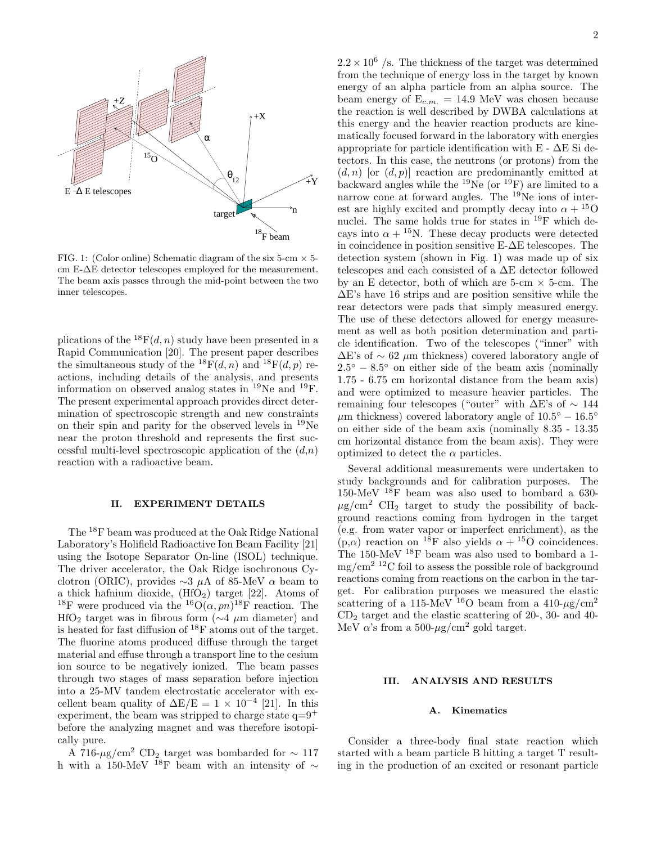

FIG. 1: (Color online) Schematic diagram of the six 5-cm  $\times$  5cm E-∆E detector telescopes employed for the measurement. The beam axis passes through the mid-point between the two inner telescopes.

plications of the  ${}^{18}F(d, n)$  study have been presented in a Rapid Communication [20]. The present paper describes the simultaneous study of the  ${}^{18}F(d, n)$  and  ${}^{18}F(d, p)$  reactions, including details of the analysis, and presents information on observed analog states in  $^{19}$ Ne and  $^{19}$ F. The present experimental approach provides direct determination of spectroscopic strength and new constraints on their spin and parity for the observed levels in <sup>19</sup>Ne near the proton threshold and represents the first successful multi-level spectroscopic application of the  $(d,n)$ reaction with a radioactive beam.

#### II. EXPERIMENT DETAILS

The <sup>18</sup>F beam was produced at the Oak Ridge National Laboratory's Holifield Radioactive Ion Beam Facility [21] using the Isotope Separator On-line (ISOL) technique. The driver accelerator, the Oak Ridge isochronous Cyclotron (ORIC), provides  $\sim$ 3 µA of 85-MeV  $\alpha$  beam to a thick hafnium dioxide,  $(HfO<sub>2</sub>)$  target [22]. Atoms of <sup>18</sup>F were produced via the <sup>16</sup>O( $\alpha$ , pn)<sup>18</sup>F reaction. The HfO<sub>2</sub> target was in fibrous form ( $\sim$ 4 µm diameter) and is heated for fast diffusion of <sup>18</sup>F atoms out of the target. The fluorine atoms produced diffuse through the target material and effuse through a transport line to the cesium ion source to be negatively ionized. The beam passes through two stages of mass separation before injection into a 25-MV tandem electrostatic accelerator with excellent beam quality of  $\Delta E/E = 1 \times 10^{-4}$  [21]. In this experiment, the beam was stripped to charge state  $q=9^+$ before the analyzing magnet and was therefore isotopically pure.

A 716-µg/cm<sup>2</sup> CD<sub>2</sub> target was bombarded for  $\sim 117$ h with a 150-MeV <sup>18</sup>F beam with an intensity of  $\sim$ 

 $2.2 \times 10^6$  /s. The thickness of the target was determined from the technique of energy loss in the target by known energy of an alpha particle from an alpha source. The beam energy of  $E_{c.m.} = 14.9 \text{ MeV}$  was chosen because the reaction is well described by DWBA calculations at this energy and the heavier reaction products are kinematically focused forward in the laboratory with energies appropriate for particle identification with  $E - \Delta E$  Si detectors. In this case, the neutrons (or protons) from the  $(d, n)$  [or  $(d, p)$ ] reaction are predominantly emitted at backward angles while the  $^{19}$ Ne (or  $^{19}$ F) are limited to a narrow cone at forward angles. The  $19N$ e ions of interest are highly excited and promptly decay into  $\alpha + {}^{15}O$ nuclei. The same holds true for states in <sup>19</sup>F which decays into  $\alpha + {}^{15}N$ . These decay products were detected in coincidence in position sensitive E-∆E telescopes. The detection system (shown in Fig. 1) was made up of six telescopes and each consisted of a ∆E detector followed by an E detector, both of which are  $5$ -cm  $\times$  5-cm. The ∆E's have 16 strips and are position sensitive while the rear detectors were pads that simply measured energy. The use of these detectors allowed for energy measurement as well as both position determination and particle identification. Two of the telescopes ("inner" with  $\Delta E$ 's of ~ 62 µm thickness) covered laboratory angle of  $2.5^{\circ} - 8.5^{\circ}$  on either side of the beam axis (nominally 1.75 - 6.75 cm horizontal distance from the beam axis) and were optimized to measure heavier particles. The remaining four telescopes ("outer" with  $\Delta E$ 's of  $\sim 144$  $\mu$ m thickness) covered laboratory angle of  $10.5^{\circ} - 16.5^{\circ}$ on either side of the beam axis (nominally 8.35 - 13.35 cm horizontal distance from the beam axis). They were optimized to detect the  $\alpha$  particles.

Several additional measurements were undertaken to study backgrounds and for calibration purposes. The 150-MeV <sup>18</sup>F beam was also used to bombard a 630-  $\mu$ g/cm<sup>2</sup> CH<sub>2</sub> target to study the possibility of background reactions coming from hydrogen in the target (e.g. from water vapor or imperfect enrichment), as the  $(p,\alpha)$  reaction on <sup>18</sup>F also yields  $\alpha +$ <sup>15</sup>O coincidences. The 150-MeV <sup>18</sup>F beam was also used to bombard a 1  $mg/cm<sup>2</sup>$  <sup>12</sup>C foil to assess the possible role of background reactions coming from reactions on the carbon in the target. For calibration purposes we measured the elastic scattering of a 115-MeV <sup>16</sup>O beam from a 410- $\mu$ g/cm<sup>2</sup>  $CD<sub>2</sub>$  target and the elastic scattering of 20-, 30- and 40-MeV  $\alpha$ 's from a 500- $\mu$ g/cm<sup>2</sup> gold target.

#### III. ANALYSIS AND RESULTS

#### A. Kinematics

Consider a three-body final state reaction which started with a beam particle B hitting a target T resulting in the production of an excited or resonant particle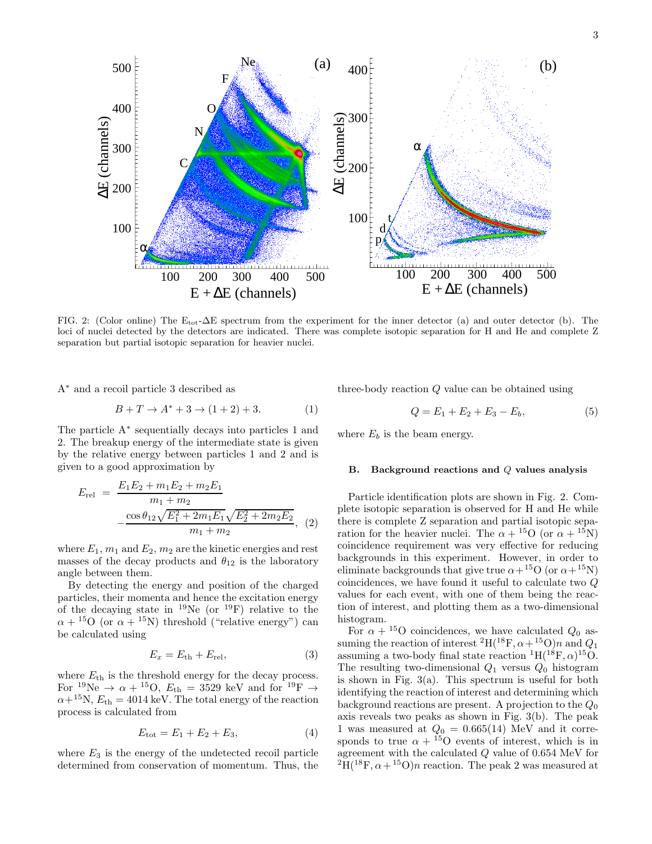Ne (a)  $_{400}$  [ (b) 500 400 F 400 O 300 E (channels) ∆E (channels) ∆N α 300 C 200 200 t 100 100 d p α un bun 100 200 300 400 500 100 200 300 400 500  $E + \Delta E$  (channels)  $E + \Delta E$  (channels)

FIG. 2: (Color online) The Etot-∆E spectrum from the experiment for the inner detector (a) and outer detector (b). The loci of nuclei detected by the detectors are indicated. There was complete isotopic separation for H and He and complete Z separation but partial isotopic separation for heavier nuclei.

A<sup>∗</sup> and a recoil particle 3 described as

$$
B + T \to A^* + 3 \to (1 + 2) + 3. \tag{1}
$$

The particle A<sup>∗</sup> sequentially decays into particles 1 and 2. The breakup energy of the intermediate state is given by the relative energy between particles 1 and 2 and is given to a good approximation by

$$
E_{\text{rel}} = \frac{E_1 E_2 + m_1 E_2 + m_2 E_1}{m_1 + m_2} - \frac{\cos \theta_{12} \sqrt{E_1^2 + 2m_1 E_1} \sqrt{E_2^2 + 2m_2 E_2}}{m_1 + m_2}, \quad (2)
$$

where  $E_1$ ,  $m_1$  and  $E_2$ ,  $m_2$  are the kinetic energies and rest masses of the decay products and  $\theta_{12}$  is the laboratory angle between them.

By detecting the energy and position of the charged particles, their momenta and hence the excitation energy of the decaying state in  $^{19}$ Ne (or  $^{19}$ F) relative to the  $\alpha + {}^{15}O$  (or  $\alpha + {}^{15}N$ ) threshold ("relative energy") can be calculated using

$$
E_x = E_{\text{th}} + E_{\text{rel}},\tag{3}
$$

where  $E_{\text{th}}$  is the threshold energy for the decay process. For <sup>19</sup>Ne  $\rightarrow \alpha + ^{15}O$ ,  $E_{\text{th}} = 3529$  keV and for <sup>19</sup>F  $\rightarrow$  $\alpha + ^{15}N$ ,  $E_{\rm th} = 4014$  keV. The total energy of the reaction process is calculated from

$$
E_{\text{tot}} = E_1 + E_2 + E_3, \tag{4}
$$

where  $E_3$  is the energy of the undetected recoil particle determined from conservation of momentum. Thus, the three-body reaction Q value can be obtained using

$$
Q = E_1 + E_2 + E_3 - E_b, \t\t(5)
$$

where  $E_b$  is the beam energy.

#### B. Background reactions and Q values analysis

Particle identification plots are shown in Fig. 2. Complete isotopic separation is observed for H and He while there is complete Z separation and partial isotopic separation for the heavier nuclei. The  $\alpha + {}^{15}O$  (or  $\alpha + {}^{15}N$ ) coincidence requirement was very effective for reducing backgrounds in this experiment. However, in order to eliminate backgrounds that give true  $\alpha + {}^{15}O$  (or  $\alpha + {}^{15}N$ ) coincidences, we have found it useful to calculate two Q values for each event, with one of them being the reaction of interest, and plotting them as a two-dimensional histogram.

For  $\alpha + {}^{15}O$  coincidences, we have calculated  $Q_0$  assuming the reaction of interest <sup>2</sup>H(<sup>18</sup>F,  $\alpha +$ <sup>15</sup>O)n and  $Q_1$ assuming a two-body final state reaction  ${}^{1}H({}^{18}F, \alpha) {}^{15}O$ . The resulting two-dimensional  $Q_1$  versus  $Q_0$  histogram is shown in Fig.  $3(a)$ . This spectrum is useful for both identifying the reaction of interest and determining which background reactions are present. A projection to the  $Q_0$ axis reveals two peaks as shown in Fig. 3(b). The peak 1 was measured at  $Q_0 = 0.665(14)$  MeV and it corresponds to true  $\alpha + {}^{15}O$  events of interest, which is in agreement with the calculated Q value of 0.654 MeV for  $^{2}H(^{18}F, \alpha + ^{15}O)n$  reaction. The peak 2 was measured at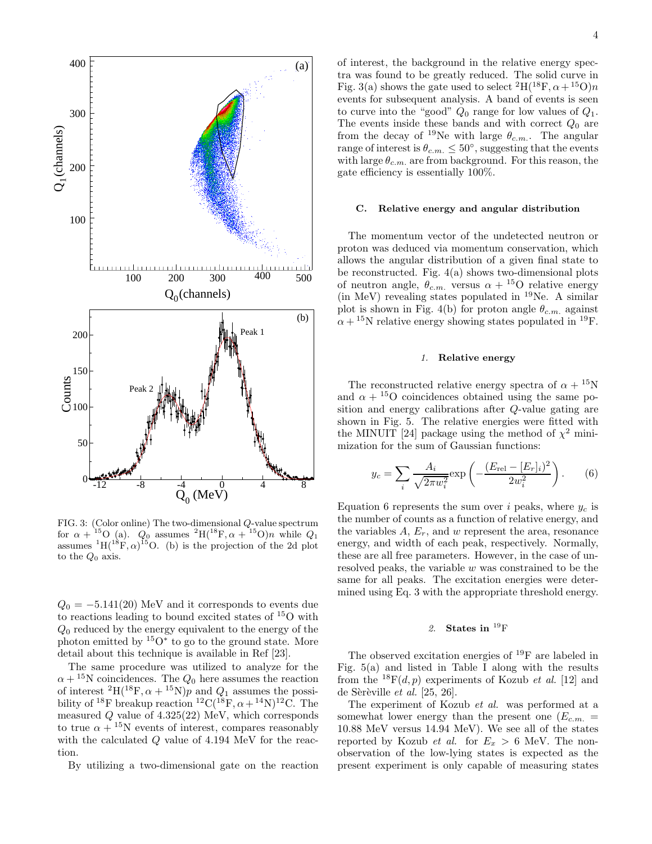

FIG. 3: (Color online) The two-dimensional Q-value spectrum for  $\alpha + {}^{15}O$  (a).  $Q_0$  assumes  ${}^{2}H({}^{18}F, \alpha + {}^{15}O)n$  while  $Q_1$ assumes  ${}^{1}H( {}^{18}F, \alpha) {}^{15}O.$  (b) is the projection of the 2d plot to the  $Q_0$  axis.

 $Q_0 = -5.141(20)$  MeV and it corresponds to events due to reactions leading to bound excited states of  $^{15}$ O with  $Q_0$  reduced by the energy equivalent to the energy of the photon emitted by  $150*$  to go to the ground state. More detail about this technique is available in Ref [23].

The same procedure was utilized to analyze for the  $\alpha + {}^{15}\text{N}$  coincidences. The  $Q_0$  here assumes the reaction of interest  ${}^{2}H({}^{18}F, \alpha + {}^{15}N)p$  and  $Q_1$  assumes the possibility of <sup>18</sup>F breakup reaction <sup>12</sup>C(<sup>18</sup>F,  $\alpha +$ <sup>14</sup>N)<sup>12</sup>C. The measured  $Q$  value of  $4.325(22)$  MeV, which corresponds to true  $\alpha + {}^{15}N$  events of interest, compares reasonably with the calculated Q value of 4.194 MeV for the reaction.

By utilizing a two-dimensional gate on the reaction

of interest, the background in the relative energy spectra was found to be greatly reduced. The solid curve in Fig. 3(a) shows the gate used to select  ${}^{2}H({}^{18}F, \alpha + {}^{15}O)n$ events for subsequent analysis. A band of events is seen to curve into the "good"  $Q_0$  range for low values of  $Q_1$ . The events inside these bands and with correct  $Q_0$  are from the decay of <sup>19</sup>Ne with large  $\theta_{c.m.}$ . The angular range of interest is  $\theta_{c.m.} \leq 50^{\circ}$ , suggesting that the events with large  $\theta_{c.m.}$  are from background. For this reason, the gate efficiency is essentially 100%.

#### C. Relative energy and angular distribution

The momentum vector of the undetected neutron or proton was deduced via momentum conservation, which allows the angular distribution of a given final state to be reconstructed. Fig. 4(a) shows two-dimensional plots of neutron angle,  $\theta_{c.m.}$  versus  $\alpha + {}^{15}O$  relative energy (in MeV) revealing states populated in  $^{19}$ Ne. A similar plot is shown in Fig. 4(b) for proton angle  $\theta_{c.m.}$  against  $\alpha + {}^{15}N$  relative energy showing states populated in <sup>19</sup>F.

#### 1. Relative energy

The reconstructed relative energy spectra of  $\alpha + {}^{15}N$ and  $\alpha + {}^{15}O$  coincidences obtained using the same position and energy calibrations after Q-value gating are shown in Fig. 5. The relative energies were fitted with the MINUIT [24] package using the method of  $\chi^2$  minimization for the sum of Gaussian functions:

$$
y_c = \sum_i \frac{A_i}{\sqrt{2\pi w_i^2}} \exp\left(-\frac{(E_{\rm rel} - [E_r]_i)^2}{2w_i^2}\right).
$$
 (6)

Equation 6 represents the sum over i peaks, where  $y_c$  is the number of counts as a function of relative energy, and the variables  $A, E_r$ , and w represent the area, resonance energy, and width of each peak, respectively. Normally, these are all free parameters. However, in the case of unresolved peaks, the variable w was constrained to be the same for all peaks. The excitation energies were determined using Eq. 3 with the appropriate threshold energy.

#### 2. States in  $^{19}F$

The observed excitation energies of <sup>19</sup>F are labeled in Fig. 5(a) and listed in Table I along with the results from the  $^{18}F(d, p)$  experiments of Kozub *et al.* [12] and de Sèrèville et al.  $[25, 26]$ .

The experiment of Kozub et al. was performed at a somewhat lower energy than the present one  $(E_{cm.} =$ 10.88 MeV versus 14.94 MeV). We see all of the states reported by Kozub *et al.* for  $E_x > 6$  MeV. The nonobservation of the low-lying states is expected as the present experiment is only capable of measuring states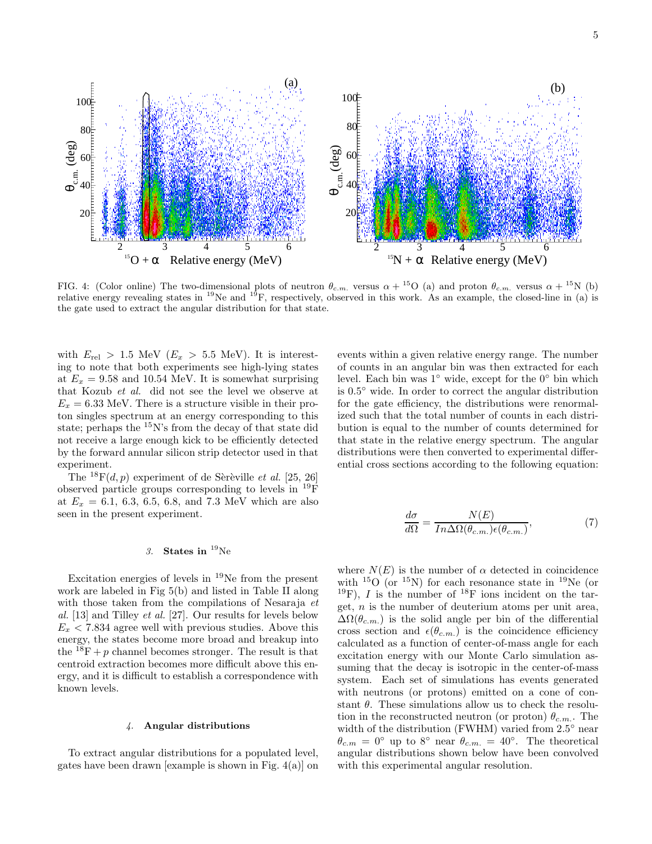

FIG. 4: (Color online) The two-dimensional plots of neutron  $\theta_{c.m.}$  versus  $\alpha + {}^{15}O$  (a) and proton  $\theta_{c.m.}$  versus  $\alpha + {}^{15}N$  (b) relative energy revealing states in <sup>19</sup>Ne and <sup>19</sup>F, respectively, observed in this work. As an example, the closed-line in (a) is the gate used to extract the angular distribution for that state.

with  $E_{rel} > 1.5$  MeV  $(E_x > 5.5$  MeV). It is interesting to note that both experiments see high-lying states at  $E_x = 9.58$  and 10.54 MeV. It is somewhat surprising that Kozub et al. did not see the level we observe at  $E_x = 6.33$  MeV. There is a structure visible in their proton singles spectrum at an energy corresponding to this state; perhaps the  $15N$ 's from the decay of that state did not receive a large enough kick to be efficiently detected by the forward annular silicon strip detector used in that experiment.

The  $^{18}F(d, p)$  experiment of de Sèrèville et al. [25, 26] observed particle groups corresponding to levels in <sup>19</sup>F at  $E_x = 6.1, 6.3, 6.5, 6.8,$  and 7.3 MeV which are also seen in the present experiment.

### 3. States in  $^{19}$ Ne

Excitation energies of levels in <sup>19</sup>Ne from the present work are labeled in Fig 5(b) and listed in Table II along with those taken from the compilations of Nesaraja et al. [13] and Tilley *et al.* [27]. Our results for levels below  $E_x < 7.834$  agree well with previous studies. Above this energy, the states become more broad and breakup into the  $^{18}F + p$  channel becomes stronger. The result is that centroid extraction becomes more difficult above this energy, and it is difficult to establish a correspondence with known levels.

#### 4. Angular distributions

To extract angular distributions for a populated level, gates have been drawn [example is shown in Fig. 4(a)] on

events within a given relative energy range. The number of counts in an angular bin was then extracted for each level. Each bin was 1◦ wide, except for the 0◦ bin which is 0.5◦ wide. In order to correct the angular distribution for the gate efficiency, the distributions were renormalized such that the total number of counts in each distribution is equal to the number of counts determined for that state in the relative energy spectrum. The angular distributions were then converted to experimental differential cross sections according to the following equation:

$$
\frac{d\sigma}{d\Omega} = \frac{N(E)}{In\Delta\Omega(\theta_{c.m.})\epsilon(\theta_{c.m.})},\tag{7}
$$

where  $N(E)$  is the number of  $\alpha$  detected in coincidence with  $^{15}O$  (or  $^{15}N$ ) for each resonance state in  $^{19}Ne$  (or  $19F$ ), I is the number of  $18F$  ions incident on the target,  $n$  is the number of deuterium atoms per unit area,  $\Delta\Omega(\theta_{c.m.})$  is the solid angle per bin of the differential cross section and  $\epsilon(\theta_{c.m.})$  is the coincidence efficiency calculated as a function of center-of-mass angle for each excitation energy with our Monte Carlo simulation assuming that the decay is isotropic in the center-of-mass system. Each set of simulations has events generated with neutrons (or protons) emitted on a cone of constant  $\theta$ . These simulations allow us to check the resolution in the reconstructed neutron (or proton)  $\theta_{cm}$ . The width of the distribution (FWHM) varied from 2.5° near  $\theta_{c,m} = 0^{\circ}$  up to 8° near  $\theta_{c,m} = 40^{\circ}$ . The theoretical angular distributions shown below have been convolved with this experimental angular resolution.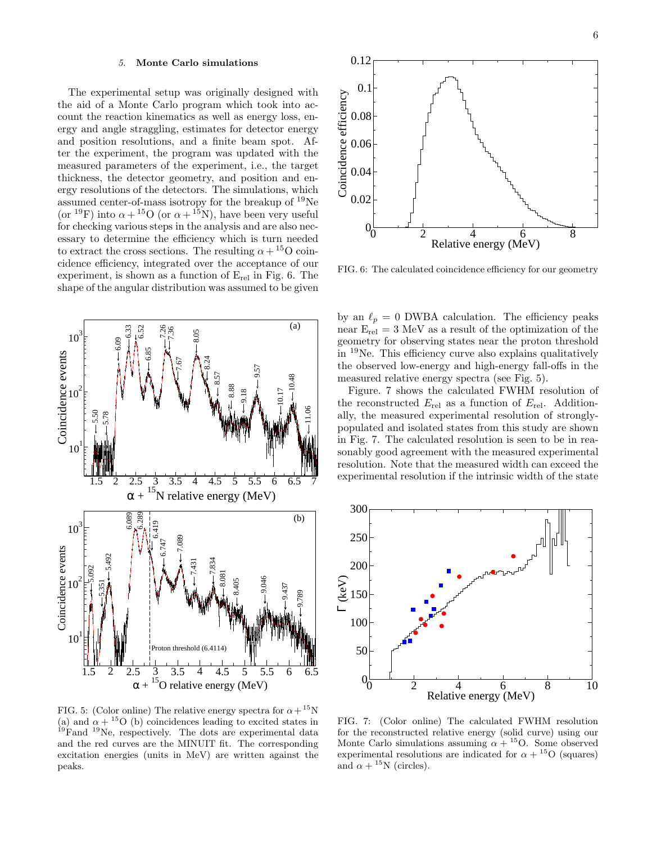#### 5. Monte Carlo simulations

The experimental setup was originally designed with the aid of a Monte Carlo program which took into account the reaction kinematics as well as energy loss, energy and angle straggling, estimates for detector energy and position resolutions, and a finite beam spot. After the experiment, the program was updated with the measured parameters of the experiment, i.e., the target thickness, the detector geometry, and position and energy resolutions of the detectors. The simulations, which assumed center-of-mass isotropy for the breakup of  $^{19}$ Ne (or <sup>19</sup>F) into  $\alpha + {}^{15}O$  (or  $\alpha + {}^{15}N$ ), have been very useful for checking various steps in the analysis and are also necessary to determine the efficiency which is turn needed to extract the cross sections. The resulting  $\alpha +^{15}O$  coincidence efficiency, integrated over the acceptance of our experiment, is shown as a function of  $E_{rel}$  in Fig. 6. The shape of the angular distribution was assumed to be given



FIG. 5: (Color online) The relative energy spectra for  $\alpha + {}^{15}N$ (a) and  $\alpha + {}^{15}O$  (b) coincidences leading to excited states in <sup>19</sup>Fand <sup>19</sup>Ne, respectively. The dots are experimental data and the red curves are the MINUIT fit. The corresponding excitation energies (units in MeV) are written against the peaks.



FIG. 6: The calculated coincidence efficiency for our geometry

by an  $\ell_p = 0$  DWBA calculation. The efficiency peaks near  $E_{rel} = 3$  MeV as a result of the optimization of the geometry for observing states near the proton threshold in <sup>19</sup>Ne. This efficiency curve also explains qualitatively the observed low-energy and high-energy fall-offs in the measured relative energy spectra (see Fig. 5).

Figure. 7 shows the calculated FWHM resolution of the reconstructed  $E_{rel}$  as a function of  $E_{rel}$ . Additionally, the measured experimental resolution of stronglypopulated and isolated states from this study are shown in Fig. 7. The calculated resolution is seen to be in reasonably good agreement with the measured experimental resolution. Note that the measured width can exceed the experimental resolution if the intrinsic width of the state



FIG. 7: (Color online) The calculated FWHM resolution for the reconstructed relative energy (solid curve) using our Monte Carlo simulations assuming  $\alpha + {}^{15}O$ . Some observed experimental resolutions are indicated for  $\alpha + {}^{15}O$  (squares) and  $\alpha + {}^{15}N$  (circles).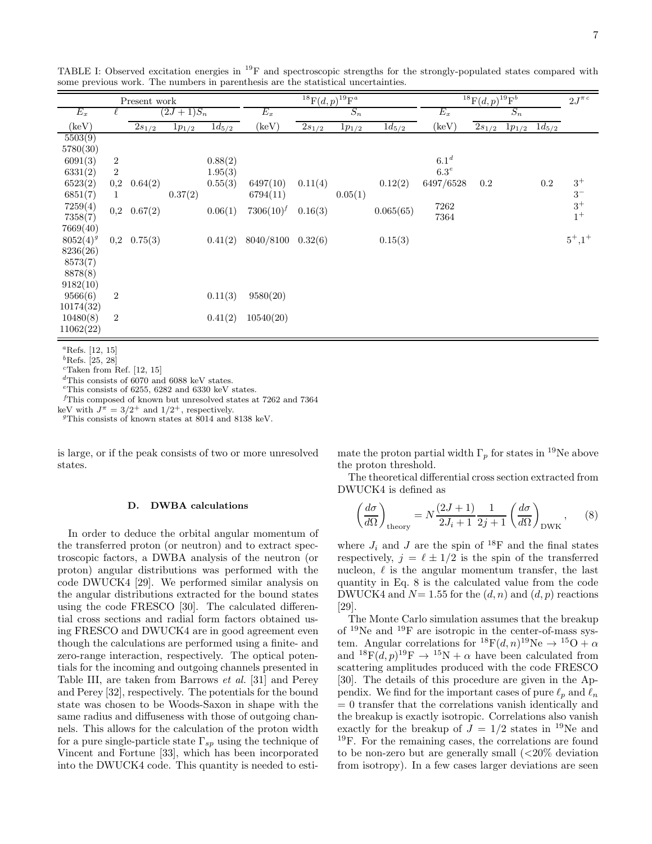| Present work  |                  |            | ${}^{18}F(d,p){}^{19}F^a$ |            |                |            | ${}^{18}F(d,p){}^{19}F^b$ |            |                  |            | $2J^{\pi c}$ |            |           |
|---------------|------------------|------------|---------------------------|------------|----------------|------------|---------------------------|------------|------------------|------------|--------------|------------|-----------|
| $E_x$         |                  |            | $(2J+1)S_n$               |            | $E_x$          |            | $S_n$                     |            | $E_x$            |            | $S_n$        |            |           |
| (keV)         |                  | $2s_{1/2}$ | $1p_{1/2}$                | $1d_{5/2}$ | $(\text{keV})$ | $2s_{1/2}$ | $1p_{1/2}$                | $1d_{5/2}$ | $(\text{keV})$   | $2s_{1/2}$ | $1p_{1/2}$   | $1d_{5/2}$ |           |
| 5503(9)       |                  |            |                           |            |                |            |                           |            |                  |            |              |            |           |
| 5780(30)      |                  |            |                           |            |                |            |                           |            |                  |            |              |            |           |
| 6091(3)       | $\boldsymbol{2}$ |            |                           | 0.88(2)    |                |            |                           |            | 6.1 <sup>d</sup> |            |              |            |           |
| 6331(2)       | $\overline{2}$   |            |                           | 1.95(3)    |                |            |                           |            | 6.3 <sup>e</sup> |            |              |            |           |
| 6523(2)       | $_{0,2}$         | 0.64(2)    |                           | 0.55(3)    | 6497(10)       | 0.11(4)    |                           | 0.12(2)    | 6497/6528        | $0.2\,$    |              | $0.2\,$    | $3^+$     |
| 6851(7)       |                  |            | 0.37(2)                   |            | 6794(11)       |            | 0.05(1)                   |            |                  |            |              |            | $3-$      |
| 7259(4)       | 0,2              | 0.67(2)    |                           | 0.06(1)    | $7306(10)^f$   | 0.16(3)    |                           | 0.065(65)  | 7262             |            |              |            | $3^+$     |
| 7358(7)       |                  |            |                           |            |                |            |                           |            | 7364             |            |              |            | $1^+$     |
| 7669(40)      |                  |            |                           |            |                |            |                           |            |                  |            |              |            |           |
| $8052(4)^{g}$ | $_{0,2}$         | 0.75(3)    |                           | 0.41(2)    | 8040/8100      | 0.32(6)    |                           | 0.15(3)    |                  |            |              |            | $5^+,1^+$ |
| 8236(26)      |                  |            |                           |            |                |            |                           |            |                  |            |              |            |           |
| 8573(7)       |                  |            |                           |            |                |            |                           |            |                  |            |              |            |           |
| 8878(8)       |                  |            |                           |            |                |            |                           |            |                  |            |              |            |           |
| 9182(10)      |                  |            |                           |            |                |            |                           |            |                  |            |              |            |           |
| 9566(6)       | $\overline{2}$   |            |                           | 0.11(3)    | 9580(20)       |            |                           |            |                  |            |              |            |           |
| 10174(32)     |                  |            |                           |            |                |            |                           |            |                  |            |              |            |           |
| 10480(8)      | $\overline{2}$   |            |                           | 0.41(2)    | 10540(20)      |            |                           |            |                  |            |              |            |           |
| 11062(22)     |                  |            |                           |            |                |            |                           |            |                  |            |              |            |           |

TABLE I: Observed excitation energies in <sup>19</sup>F and spectroscopic strengths for the strongly-populated states compared with some previous work. The numbers in parenthesis are the statistical uncertainties.

 ${}^a$ Refs. [12, 15]

 $b$ Refs. [25, 28]

 $c$ Taken from Ref. [12, 15]

 ${}^{d}$ This consists of 6070 and 6088 keV states.

 $^e \! \!$  This consists of 6255, 6282 and 6330 keV states.

 $<sup>f</sup>$ This composed of known but unresolved states at 7262 and 7364</sup>

keV with  $J^{\pi} = 3/2^{+}$  and  $1/2^{+}$ , respectively.

<sup>g</sup>This consists of known states at 8014 and 8138 keV.

is large, or if the peak consists of two or more unresolved states.

#### D. DWBA calculations

In order to deduce the orbital angular momentum of the transferred proton (or neutron) and to extract spectroscopic factors, a DWBA analysis of the neutron (or proton) angular distributions was performed with the code DWUCK4 [29]. We performed similar analysis on the angular distributions extracted for the bound states using the code FRESCO [30]. The calculated differential cross sections and radial form factors obtained using FRESCO and DWUCK4 are in good agreement even though the calculations are performed using a finite- and zero-range interaction, respectively. The optical potentials for the incoming and outgoing channels presented in Table III, are taken from Barrows et al. [31] and Perey and Perey [32], respectively. The potentials for the bound state was chosen to be Woods-Saxon in shape with the same radius and diffuseness with those of outgoing channels. This allows for the calculation of the proton width for a pure single-particle state  $\Gamma_{sp}$  using the technique of Vincent and Fortune [33], which has been incorporated into the DWUCK4 code. This quantity is needed to estimate the proton partial width  $\Gamma_n$  for states in <sup>19</sup>Ne above the proton threshold.

The theoretical differential cross section extracted from DWUCK4 is defined as

$$
\left(\frac{d\sigma}{d\Omega}\right)_{\text{theory}} = N \frac{(2J+1)}{2J_i+1} \frac{1}{2j+1} \left(\frac{d\sigma}{d\Omega}\right)_{\text{DWK}},\tag{8}
$$

where  $J_i$  and J are the spin of <sup>18</sup>F and the final states respectively,  $j = \ell \pm 1/2$  is the spin of the transferred nucleon,  $\ell$  is the angular momentum transfer, the last quantity in Eq. 8 is the calculated value from the code DWUCK4 and  $N=1.55$  for the  $(d, n)$  and  $(d, p)$  reactions [29].

The Monte Carlo simulation assumes that the breakup of <sup>19</sup>Ne and <sup>19</sup>F are isotropic in the center-of-mass system. Angular correlations for  ${}^{18}F(d, n){}^{19}Ne \rightarrow {}^{15}O + \alpha$ and  ${}^{18}F(d,p){}^{19}F \rightarrow {}^{15}N + \alpha$  have been calculated from scattering amplitudes produced with the code FRESCO [30]. The details of this procedure are given in the Appendix. We find for the important cases of pure  $\ell_p$  and  $\ell_n$  $= 0$  transfer that the correlations vanish identically and the breakup is exactly isotropic. Correlations also vanish exactly for the breakup of  $J = 1/2$  states in <sup>19</sup>Ne and <sup>19</sup>F. For the remaining cases, the correlations are found to be non-zero but are generally small  $\langle$  <20% deviation from isotropy). In a few cases larger deviations are seen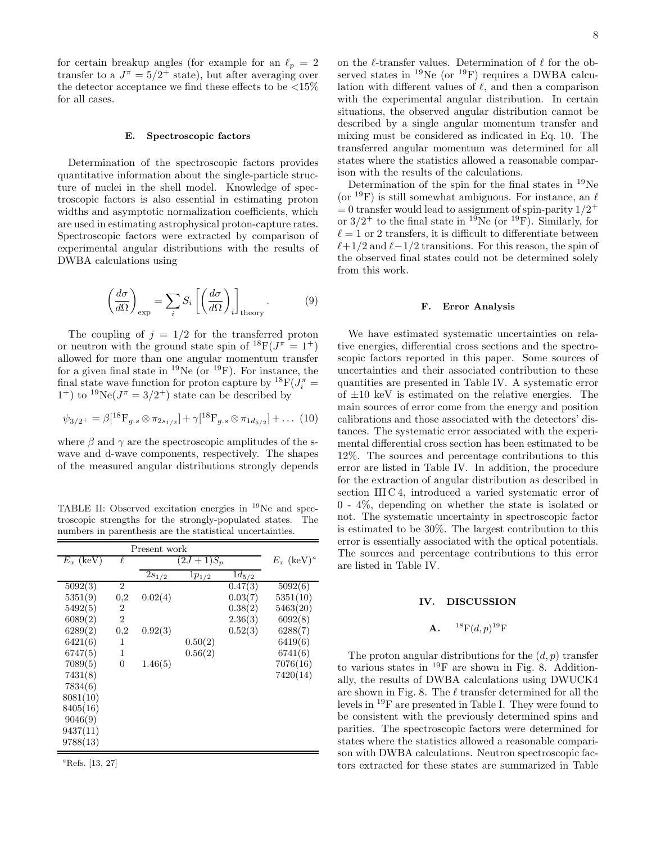for certain breakup angles (for example for an  $\ell_p = 2$ transfer to a  $J^{\pi} = 5/2^+$  state), but after averaging over the detector acceptance we find these effects to be  $\langle 15\%$ for all cases.

#### E. Spectroscopic factors

Determination of the spectroscopic factors provides quantitative information about the single-particle structure of nuclei in the shell model. Knowledge of spectroscopic factors is also essential in estimating proton widths and asymptotic normalization coefficients, which are used in estimating astrophysical proton-capture rates. Spectroscopic factors were extracted by comparison of experimental angular distributions with the results of DWBA calculations using

$$
\left(\frac{d\sigma}{d\Omega}\right)_{\exp} = \sum_{i} S_i \left[ \left(\frac{d\sigma}{d\Omega}\right)_i \right]_{\text{theory}}.
$$
 (9)

The coupling of  $j = 1/2$  for the transferred proton or neutron with the ground state spin of  $^{18}F(J^{\pi} = 1^+)$ allowed for more than one angular momentum transfer for a given final state in <sup>19</sup>Ne (or <sup>19</sup>F). For instance, the final state wave function for proton capture by  ${}^{18}$ F( $J_i^{\pi}$  =  $1^+$ ) to  $1^9$ Ne( $J^{\pi} = 3/2^+$ ) state can be described by

$$
\psi_{3/2^{+}} = \beta [^{18}F_{g.s} \otimes \pi_{2s_{1/2}}] + \gamma [^{18}F_{g.s} \otimes \pi_{1d_{5/2}}] + \dots (10)
$$

where  $\beta$  and  $\gamma$  are the spectroscopic amplitudes of the swave and d-wave components, respectively. The shapes of the measured angular distributions strongly depends

TABLE II: Observed excitation energies in <sup>19</sup>Ne and spectroscopic strengths for the strongly-populated states. The numbers in parenthesis are the statistical uncertainties.

|             |                | Present work |                          |                       |          |
|-------------|----------------|--------------|--------------------------|-----------------------|----------|
| $E_x$ (keV) | ℓ              | $(2J+1)S_p$  | $E_x$ (keV) <sup>a</sup> |                       |          |
|             |                | $2s_{1/2}$   | $1p_{1/2}$               | $\overline{1}d_{5/2}$ |          |
| 5092(3)     | $\overline{2}$ |              |                          | $\overline{0.47}(3)$  | 5092(6)  |
| 5351(9)     | $_{0,2}$       | 0.02(4)      |                          | 0.03(7)               | 5351(10) |
| 5492(5)     | 2              |              |                          | 0.38(2)               | 5463(20) |
| 6089(2)     | $\overline{2}$ |              |                          | 2.36(3)               | 6092(8)  |
| 6289(2)     | $_{0,2}$       | 0.92(3)      |                          | 0.52(3)               | 6288(7)  |
| 6421(6)     | 1              |              | 0.50(2)                  |                       | 6419(6)  |
| 6747(5)     | 1              |              | 0.56(2)                  |                       | 6741(6)  |
| 7089(5)     | $\Omega$       | 1.46(5)      |                          |                       | 7076(16) |
| 7431(8)     |                |              |                          |                       | 7420(14) |
| 7834(6)     |                |              |                          |                       |          |
| 8081(10)    |                |              |                          |                       |          |
| 8405(16)    |                |              |                          |                       |          |
| 9046(9)     |                |              |                          |                       |          |
| 9437(11)    |                |              |                          |                       |          |
| 9788(13)    |                |              |                          |                       |          |

<sup>a</sup>Refs. [13, 27]

on the  $\ell$ -transfer values. Determination of  $\ell$  for the observed states in  $^{19}$ Ne (or  $^{19}$ F) requires a DWBA calculation with different values of  $\ell$ , and then a comparison with the experimental angular distribution. In certain situations, the observed angular distribution cannot be described by a single angular momentum transfer and mixing must be considered as indicated in Eq. 10. The transferred angular momentum was determined for all states where the statistics allowed a reasonable comparison with the results of the calculations.

Determination of the spin for the final states in <sup>19</sup>Ne (or <sup>19</sup>F) is still somewhat ambiguous. For instance, an  $\ell$  $= 0$  transfer would lead to assignment of spin-parity  $1/2^+$ or  $3/2^+$  to the final state in <sup>19</sup>Ne (or <sup>19</sup>F). Similarly, for  $\ell = 1$  or 2 transfers, it is difficult to differentiate between  $\ell+1/2$  and  $\ell-1/2$  transitions. For this reason, the spin of the observed final states could not be determined solely from this work.

#### F. Error Analysis

We have estimated systematic uncertainties on relative energies, differential cross sections and the spectroscopic factors reported in this paper. Some sources of uncertainties and their associated contribution to these quantities are presented in Table IV. A systematic error of  $\pm 10$  keV is estimated on the relative energies. The main sources of error come from the energy and position calibrations and those associated with the detectors' distances. The systematic error associated with the experimental differential cross section has been estimated to be 12%. The sources and percentage contributions to this error are listed in Table IV. In addition, the procedure for the extraction of angular distribution as described in section III C 4, introduced a varied systematic error of 0 - 4%, depending on whether the state is isolated or not. The systematic uncertainty in spectroscopic factor is estimated to be 30%. The largest contribution to this error is essentially associated with the optical potentials. The sources and percentage contributions to this error are listed in Table IV.

#### IV. DISCUSSION

#### ${\bf A.} \hspace{0.2in} ^{18}{\rm F}(d,p)^{19}{\rm F}$

The proton angular distributions for the  $(d, p)$  transfer to various states in  $^{19}$ F are shown in Fig. 8. Additionally, the results of DWBA calculations using DWUCK4 are shown in Fig. 8. The  $\ell$  transfer determined for all the levels in <sup>19</sup>F are presented in Table I. They were found to be consistent with the previously determined spins and parities. The spectroscopic factors were determined for states where the statistics allowed a reasonable comparison with DWBA calculations. Neutron spectroscopic factors extracted for these states are summarized in Table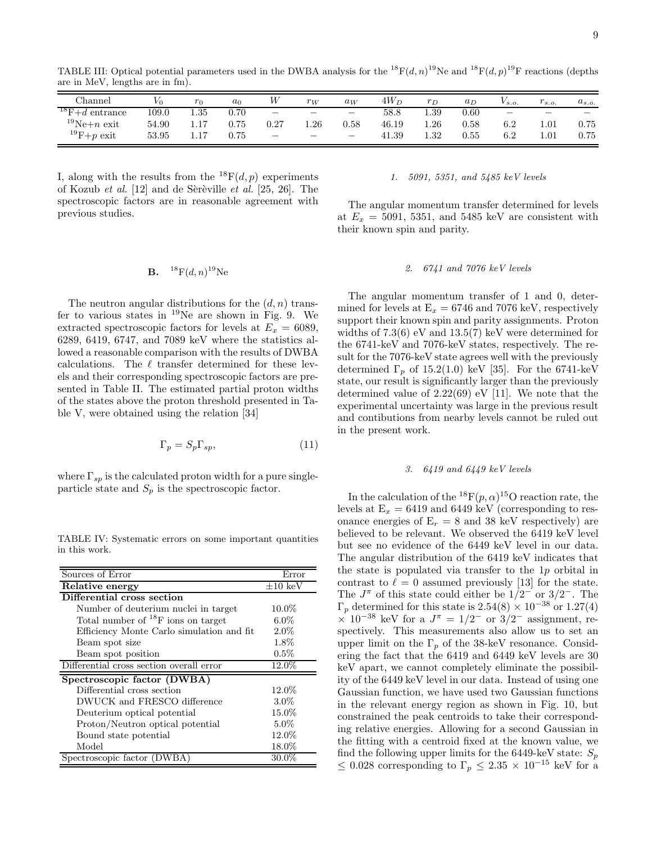TABLE III: Optical potential parameters used in the DWBA analysis for the <sup>18</sup> $F(d, n)$ <sup>19</sup>Ne and <sup>18</sup> $F(d, p)$ <sup>19</sup>F reactions (depths are in MeV, lengths are in fm).

| Channel          | V0    | $r_0$    | $a_0$    | W                        | $r_W$                           | $a_W$                    | $4W_D$ | $r_D$    | $a_D$ | $V_{s.o.}$ | $r_{s.o.}$                      | $a_{s.o.}$ |
|------------------|-------|----------|----------|--------------------------|---------------------------------|--------------------------|--------|----------|-------|------------|---------------------------------|------------|
| $18F+d$ entrance | 109.0 | $1.35\,$ | 0.70     | -                        | $\overline{\phantom{a}}$        | $\overline{\phantom{a}}$ | 58.8   | 1.39     | 0.60  |            | $\hspace{0.1mm}-\hspace{0.1mm}$ |            |
| $19$ Ne+n exit   | 54.90 | 1.17     | 0.75     | 0.27                     | $1.26\,$                        | $_{0.58}$                | 46.19  | $1.26\,$ | 0.58  | 6.2        | 1.01                            | 0.75       |
| $19F+p$ exit     | 53.95 | 1.17     | $0.75\,$ | $\overline{\phantom{0}}$ | $\hspace{0.1in} \hspace{0.1in}$ | $\overline{\phantom{a}}$ | 41.39  | $1.32\,$ | 0.55  | 6.2        | $1.01\,$                        | 0.75       |

I, along with the results from the  ${}^{18}F(d,p)$  experiments of Kozub *et al.* [12] and de Sèrèville *et al.* [25, 26]. The spectroscopic factors are in reasonable agreement with previous studies.

#### **B.**  ${}^{18}F(d, n){}^{19}Ne$

The neutron angular distributions for the  $(d, n)$  transfer to various states in  $^{19}$ Ne are shown in Fig. 9. We extracted spectroscopic factors for levels at  $E_x = 6089$ , 6289, 6419, 6747, and 7089 keV where the statistics allowed a reasonable comparison with the results of DWBA calculations. The  $\ell$  transfer determined for these levels and their corresponding spectroscopic factors are presented in Table II. The estimated partial proton widths of the states above the proton threshold presented in Table V, were obtained using the relation [34]

$$
\Gamma_p = S_p \Gamma_{sp},\tag{11}
$$

where  $\Gamma_{sp}$  is the calculated proton width for a pure singleparticle state and  $S_p$  is the spectroscopic factor.

TABLE IV: Systematic errors on some important quantities in this work.

| Sources of Error                          | Error                 |  |  |  |  |  |
|-------------------------------------------|-----------------------|--|--|--|--|--|
| Relative energy                           | $\pm 10~\mathrm{keV}$ |  |  |  |  |  |
| Differential cross section                |                       |  |  |  |  |  |
| Number of deuterium nuclei in target      | $10.0\%$              |  |  |  |  |  |
| Total number of $^{18}$ F ions on target  | $6.0\%$               |  |  |  |  |  |
| Efficiency Monte Carlo simulation and fit | $2.0\%$               |  |  |  |  |  |
| Beam spot size                            | 1.8%                  |  |  |  |  |  |
| Beam spot position                        | $0.5\%$               |  |  |  |  |  |
| Differential cross section overall error  | 12.0%                 |  |  |  |  |  |
| Spectroscopic factor (DWBA)               |                       |  |  |  |  |  |
| Differential cross section                | $12.0\%$              |  |  |  |  |  |
| DWUCK and FRESCO difference               | $3.0\%$               |  |  |  |  |  |
| Deuterium optical potential               | 15.0%                 |  |  |  |  |  |
| Proton/Neutron optical potential          | $5.0\%$               |  |  |  |  |  |
| Bound state potential                     | 12.0%                 |  |  |  |  |  |
| Model                                     | 18.0%                 |  |  |  |  |  |
| Spectroscopic factor (DWBA)               | $30.0\%$              |  |  |  |  |  |

#### 1. 5091, 5351, and 5485 keV levels

The angular momentum transfer determined for levels at  $E_x = 5091, 5351,$  and 5485 keV are consistent with their known spin and parity.

#### 2. 6741 and 7076 keV levels

The angular momentum transfer of 1 and 0, determined for levels at  $E_x = 6746$  and 7076 keV, respectively support their known spin and parity assignments. Proton widths of 7.3(6) eV and 13.5(7) keV were determined for the 6741-keV and 7076-keV states, respectively. The result for the 7076-keV state agrees well with the previously determined  $\Gamma_p$  of 15.2(1.0) keV [35]. For the 6741-keV state, our result is significantly larger than the previously determined value of  $2.22(69)$  eV [11]. We note that the experimental uncertainty was large in the previous result and contibutions from nearby levels cannot be ruled out in the present work.

#### 3. 6419 and 6449 keV levels

In the calculation of the  ${}^{18}F(p,\alpha){}^{15}O$  reaction rate, the levels at  $E_x = 6419$  and 6449 keV (corresponding to resonance energies of  $E_r = 8$  and 38 keV respectively) are believed to be relevant. We observed the 6419 keV level but see no evidence of the 6449 keV level in our data. The angular distribution of the 6419 keV indicates that the state is populated via transfer to the 1p orbital in contrast to  $\ell = 0$  assumed previously [13] for the state. The  $J^{\pi}$  of this state could either be  $1/2^-$  or  $3/2^-$ . The  $\Gamma_p$  determined for this state is 2.54(8) × 10<sup>-38</sup> or 1.27(4)  $\times$  10<sup>-38</sup> keV for a  $J^{\pi} = 1/2^-$  or 3/2<sup>-</sup> assignment, respectively. This measurements also allow us to set an upper limit on the  $\Gamma_p$  of the 38-keV resonance. Considering the fact that the 6419 and 6449 keV levels are 30 keV apart, we cannot completely eliminate the possibility of the 6449 keV level in our data. Instead of using one Gaussian function, we have used two Gaussian functions in the relevant energy region as shown in Fig. 10, but constrained the peak centroids to take their corresponding relative energies. Allowing for a second Gaussian in the fitting with a centroid fixed at the known value, we find the following upper limits for the 6449-keV state:  $S_p$  $\leq 0.028$  corresponding to  $\Gamma_p \leq 2.35 \times 10^{-15}$  keV for a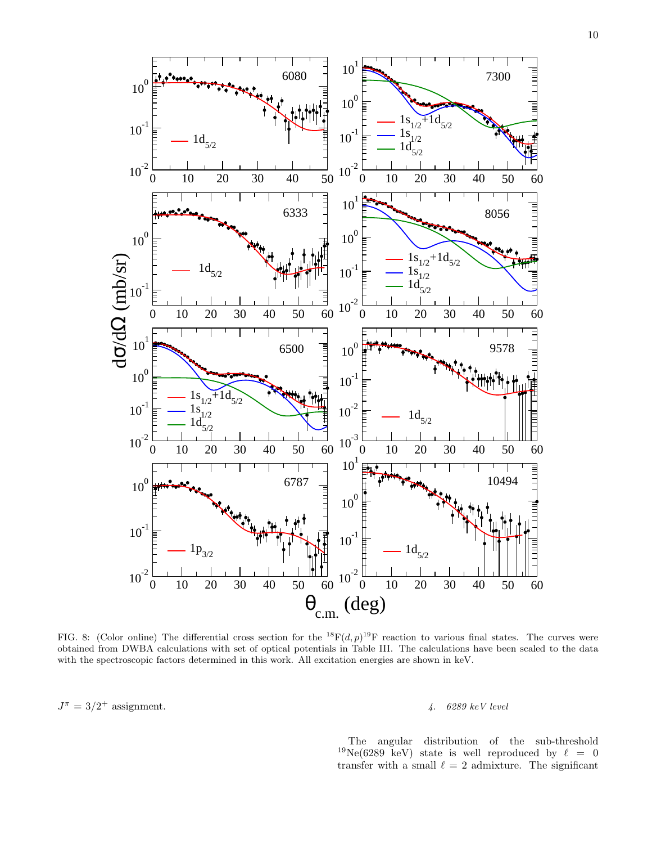

FIG. 8: (Color online) The differential cross section for the  ${}^{18}F(d,p){}^{19}F$  reaction to various final states. The curves were obtained from DWBA calculations with set of optical potentials in Table III. The calculations have been scaled to the data with the spectroscopic factors determined in this work. All excitation energies are shown in keV.

 $J^{\pi} = 3/2^{+}$  assignment.  $4.6289 \text{ keV level}$ 

The angular distribution of the sub-threshold  $19\text{Ne}(6289 \text{ keV})$  state is well reproduced by  $\ell = 0$ transfer with a small  $\ell = 2$  admixture. The significant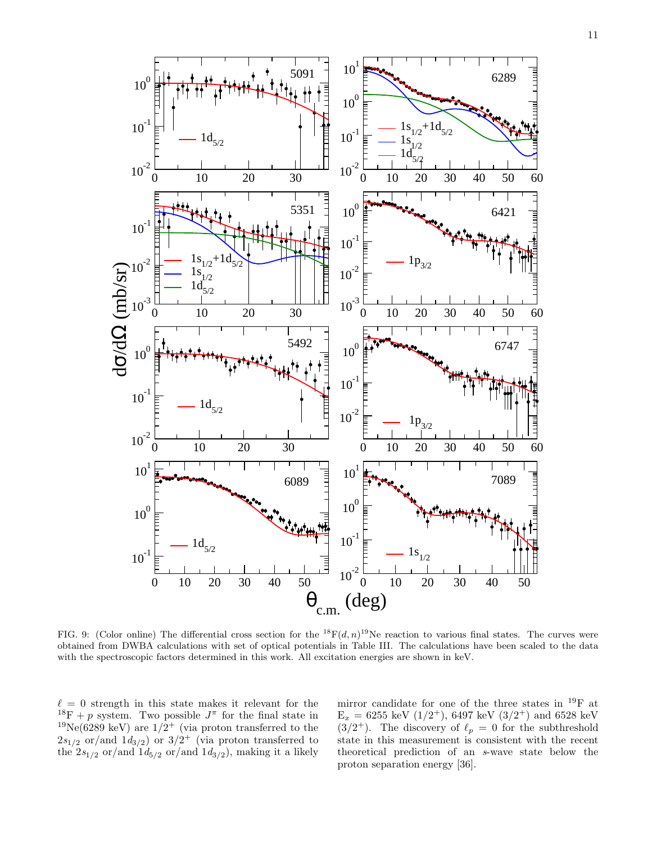

FIG. 9: (Color online) The differential cross section for the  ${}^{18}F(d, n){}^{19}Ne$  reaction to various final states. The curves were obtained from DWBA calculations with set of optical potentials in Table III. The calculations have been scaled to the data with the spectroscopic factors determined in this work. All excitation energies are shown in keV.

 $\ell = 0$  strength in this state makes it relevant for the <sup>18</sup>F + p system. Two possible  $J^{\pi}$  for the final state in <sup>19</sup>Ne(6289 keV) are  $1/2^+$  (via proton transferred to the  $2s_{1/2}$  or/and  $1d_{3/2}$ ) or  $3/2^+$  (via proton transferred to the  $2s_{1/2}$  or/and  $1d_{5/2}$  or/and  $1d_{3/2}$ , making it a likely

mirror candidate for one of the three states in <sup>19</sup>F at  $E_x = 6255 \text{ keV } (1/2^+), 6497 \text{ keV } (3/2^+) \text{ and } 6528 \text{ keV}$  $(3/2^+)$ . The discovery of  $\ell_p = 0$  for the subthreshold state in this measurement is consistent with the recent theoretical prediction of an s-wave state below the proton separation energy [36].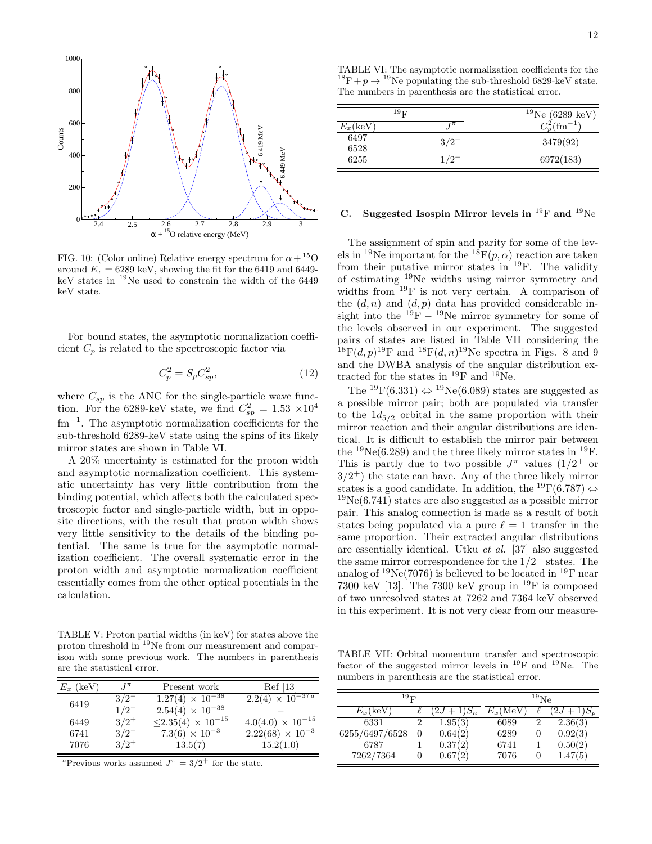

FIG. 10: (Color online) Relative energy spectrum for  $\alpha + {}^{15}O$ around  $E_x = 6289 \text{ keV}$ , showing the fit for the 6419 and 6449keV states in  $^{19}$ Ne used to constrain the width of the 6449 keV state.

For bound states, the asymptotic normalization coefficient $C_p$  is related to the spectroscopic factor via

$$
C_p^2 = S_p C_{sp}^2,\tag{12}
$$

where  $C_{sp}$  is the ANC for the single-particle wave function. For the 6289-keV state, we find  $C_{sp}^2 = 1.53 \times 10^4$ fm<sup>-1</sup>. The asymptotic normalization coefficients for the sub-threshold 6289-keV state using the spins of its likely mirror states are shown in Table VI.

A 20% uncertainty is estimated for the proton width and asymptotic normalization coefficient. This systematic uncertainty has very little contribution from the binding potential, which affects both the calculated spectroscopic factor and single-particle width, but in opposite directions, with the result that proton width shows very little sensitivity to the details of the binding potential. The same is true for the asymptotic normalization coefficient. The overall systematic error in the proton width and asymptotic normalization coefficient essentially comes from the other optical potentials in the calculation.

TABLE V: Proton partial widths (in keV) for states above the proton threshold in <sup>19</sup>Ne from our measurement and comparison with some previous work. The numbers in parenthesis are the statistical error.

| $E_x$ (keV)  | $J^{\pi}$            | Present work                                                         | Ref <sub>[13]</sub>                                     |
|--------------|----------------------|----------------------------------------------------------------------|---------------------------------------------------------|
| 6419         | $3/2^{-}$            | $1.27(4) \times 10^{-38}$                                            | $2.2(4) \times 10^{-37 a}$                              |
|              | $1/2^{-}$            | $2.54(4) \times 10^{-38}$                                            |                                                         |
| 6449<br>6741 | $3/2^+$<br>$3/2^{-}$ | $\leq$ 2.35(4) $\times$ 10 <sup>-15</sup><br>$7.3(6) \times 10^{-3}$ | $4.0(4.0) \times 10^{-15}$<br>$2.22(68) \times 10^{-3}$ |
| 7076         | $3/2^+$              | 13.5(7)                                                              | 15.2(1.0)                                               |

<sup>a</sup>Previous works assumed  $J^{\pi} = 3/2^{+}$  for the state.

TABLE VI: The asymptotic normalization coefficients for the <sup>18</sup>F + p  $\rightarrow$  <sup>19</sup>Ne populating the sub-threshold 6829-keV state. The numbers in parenthesis are the statistical error.

|                   | $^{19}$ F | $19$ Ne (6289 keV)          |
|-------------------|-----------|-----------------------------|
| $E_x(\text{keV})$ |           | $C_n^2$ (fm <sup>-1</sup> ) |
| 6497<br>6528      | $3/2^+$   | 3479(92)                    |
| 6255              | $1/2^+$   | 6972(183)                   |

#### C. Suggested Isospin Mirror levels in  $^{19}$ F and  $^{19}$ Ne

The assignment of spin and parity for some of the levels in <sup>19</sup>Ne important for the <sup>18</sup>F(p,  $\alpha$ ) reaction are taken from their putative mirror states in  $^{19}$ F. The validity of estimating <sup>19</sup>Ne widths using mirror symmetry and widths from <sup>19</sup>F is not very certain. A comparison of the  $(d, n)$  and  $(d, p)$  data has provided considerable insight into the  $^{19}F - ^{19}Ne$  mirror symmetry for some of the levels observed in our experiment. The suggested pairs of states are listed in Table VII considering the <sup>18</sup>F(d, p)<sup>19</sup>F and <sup>18</sup>F(d, n)<sup>19</sup>Ne spectra in Figs. 8 and 9 and the DWBA analysis of the angular distribution extracted for the states in  $^{19}$ F and  $^{19}$ Ne.

The <sup>19</sup>F(6.331)  $\Leftrightarrow$  <sup>19</sup>Ne(6.089) states are suggested as a possible mirror pair; both are populated via transfer to the  $1d_{5/2}$  orbital in the same proportion with their mirror reaction and their angular distributions are identical. It is difficult to establish the mirror pair between the  $^{19}Ne(6.289)$  and the three likely mirror states in  $^{19}F$ . This is partly due to two possible  $J^{\pi}$  values  $(1/2)^{+}$  or  $3/2^+$ ) the state can have. Any of the three likely mirror states is a good candidate. In addition, the <sup>19</sup>F(6.787)  $\Leftrightarrow$  $19Ne(6.741)$  states are also suggested as a possible mirror pair. This analog connection is made as a result of both states being populated via a pure  $\ell = 1$  transfer in the same proportion. Their extracted angular distributions are essentially identical. Utku et al. [37] also suggested the same mirror correspondence for the  $1/2^-$  states. The analog of  $^{19}$ Ne(7076) is believed to be located in  $^{19}$ F near 7300 keV [13]. The 7300 keV group in  $^{19}F$  is composed of two unresolved states at 7262 and 7364 keV observed in this experiment. It is not very clear from our measure-

TABLE VII: Orbital momentum transfer and spectroscopic factor of the suggested mirror levels in  $^{19}$ F and  $^{19}$ Ne. The numbers in parenthesis are the statistical error.

| $^{19}$ F         |   | $^{19}{\rm Ne}$ |                   |          |          |
|-------------------|---|-----------------|-------------------|----------|----------|
| $E_x(\text{keV})$ |   | $+1)S_n$        | $E_x(\text{MeV})$ |          | $+1)S_p$ |
| 6331              | 2 | 1.95(3)         | 6089              | 2        | 2.36(3)  |
| 6255/6497/6528    | 0 | 0.64(2)         | 6289              | $\theta$ | 0.92(3)  |
| 6787              |   | 0.37(2)         | 6741              |          | 0.50(2)  |
| 7262/7364         |   | 0.67(2)         | 7076              |          | 1.47(5)  |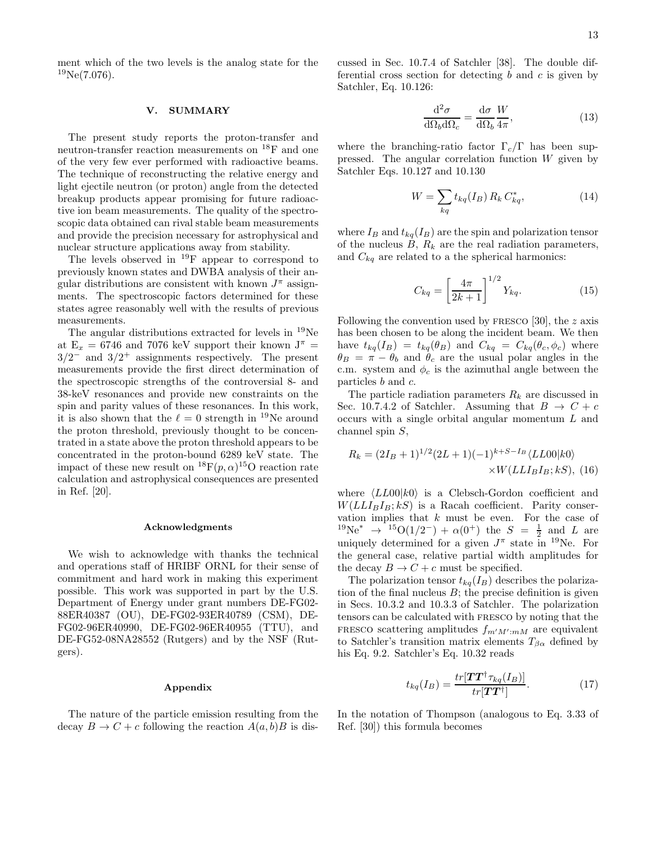ment which of the two levels is the analog state for the  $^{19}Ne(7.076).$ 

#### V. SUMMARY

The present study reports the proton-transfer and neutron-transfer reaction measurements on <sup>18</sup>F and one of the very few ever performed with radioactive beams. The technique of reconstructing the relative energy and light ejectile neutron (or proton) angle from the detected breakup products appear promising for future radioactive ion beam measurements. The quality of the spectroscopic data obtained can rival stable beam measurements and provide the precision necessary for astrophysical and nuclear structure applications away from stability.

The levels observed in <sup>19</sup>F appear to correspond to previously known states and DWBA analysis of their angular distributions are consistent with known  $J^{\pi}$  assignments. The spectroscopic factors determined for these states agree reasonably well with the results of previous measurements.

The angular distributions extracted for levels in <sup>19</sup>Ne at  $E_x = 6746$  and 7076 keV support their known  $J^{\pi}$  =  $3/2^-$  and  $3/2^+$  assignments respectively. The present measurements provide the first direct determination of the spectroscopic strengths of the controversial 8- and 38-keV resonances and provide new constraints on the spin and parity values of these resonances. In this work, it is also shown that the  $\ell = 0$  strength in <sup>19</sup>Ne around the proton threshold, previously thought to be concentrated in a state above the proton threshold appears to be concentrated in the proton-bound 6289 keV state. The impact of these new result on  ${}^{18}F(p,\alpha){}^{15}O$  reaction rate calculation and astrophysical consequences are presented in Ref. [20].

#### Acknowledgments

We wish to acknowledge with thanks the technical and operations staff of HRIBF ORNL for their sense of commitment and hard work in making this experiment possible. This work was supported in part by the U.S. Department of Energy under grant numbers DE-FG02- 88ER40387 (OU), DE-FG02-93ER40789 (CSM), DE-FG02-96ER40990, DE-FG02-96ER40955 (TTU), and DE-FG52-08NA28552 (Rutgers) and by the NSF (Rutgers).

#### Appendix

The nature of the particle emission resulting from the decay  $B \to C + c$  following the reaction  $A(a, b)B$  is discussed in Sec. 10.7.4 of Satchler [38]. The double differential cross section for detecting  $b$  and  $c$  is given by Satchler, Eq. 10.126:

$$
\frac{\mathrm{d}^2 \sigma}{\mathrm{d}\Omega_b \mathrm{d}\Omega_c} = \frac{\mathrm{d}\sigma}{\mathrm{d}\Omega_b} \frac{W}{4\pi},\tag{13}
$$

where the branching-ratio factor  $\Gamma_c/\Gamma$  has been suppressed. The angular correlation function  $W$  given by Satchler Eqs. 10.127 and 10.130

$$
W = \sum_{kq} t_{kq}(I_B) R_k C_{kq}^*,
$$
 (14)

where  $I_B$  and  $t_{kq}(I_B)$  are the spin and polarization tensor of the nucleus  $B, R_k$  are the real radiation parameters, and  $C_{kq}$  are related to a the spherical harmonics:

$$
C_{kq} = \left[\frac{4\pi}{2k+1}\right]^{1/2} Y_{kq}.
$$
 (15)

Following the convention used by FRESCO  $[30]$ , the z axis has been chosen to be along the incident beam. We then have  $t_{kq}(I_B) = t_{kq}(\theta_B)$  and  $C_{kq} = C_{kq}(\theta_c, \phi_c)$  where  $\theta_B = \pi - \theta_b$  and  $\theta_c$  are the usual polar angles in the c.m. system and  $\phi_c$  is the azimuthal angle between the particles b and c.

The particle radiation parameters  $R_k$  are discussed in Sec. 10.7.4.2 of Satchler. Assuming that  $B \to C + c$ occurs with a single orbital angular momentum L and channel spin S,

$$
R_k = (2I_B + 1)^{1/2} (2L + 1)(-1)^{k+S-I_B} \langle LLO0|k0\rangle
$$
  
×*W*(*LLI<sub>B</sub>I<sub>B</sub>*; *kS*), (16)

where  $\langle LLO0|k0\rangle$  is a Clebsch-Gordon coefficient and  $W(LLI_BI_B; kS)$  is a Racah coefficient. Parity conservation implies that  $k$  must be even. For the case of  $^{19}\text{Ne}^*$   $\rightarrow$   $^{15}\text{O}(1/2^-) + \alpha(0^+)$  the  $S = \frac{1}{2}$  and L are uniquely determined for a given  $J^{\pi}$  state in <sup>19</sup>Ne. For the general case, relative partial width amplitudes for the decay  $B \to C + c$  must be specified.

The polarization tensor  $t_{kq}(I_B)$  describes the polarization of the final nucleus  $B$ ; the precise definition is given in Secs. 10.3.2 and 10.3.3 of Satchler. The polarization tensors can be calculated with fresco by noting that the FRESCO scattering amplitudes  $f_{m'M':mM}$  are equivalent to Satchler's transition matrix elements  $T_{\beta\alpha}$  defined by his Eq. 9.2. Satchler's Eq. 10.32 reads

$$
t_{kq}(I_B) = \frac{tr[\mathbf{T}\mathbf{T}^\dagger \tau_{kq}(I_B)]}{tr[\mathbf{T}\mathbf{T}^\dagger]}.
$$
 (17)

In the notation of Thompson (analogous to Eq. 3.33 of Ref. [30]) this formula becomes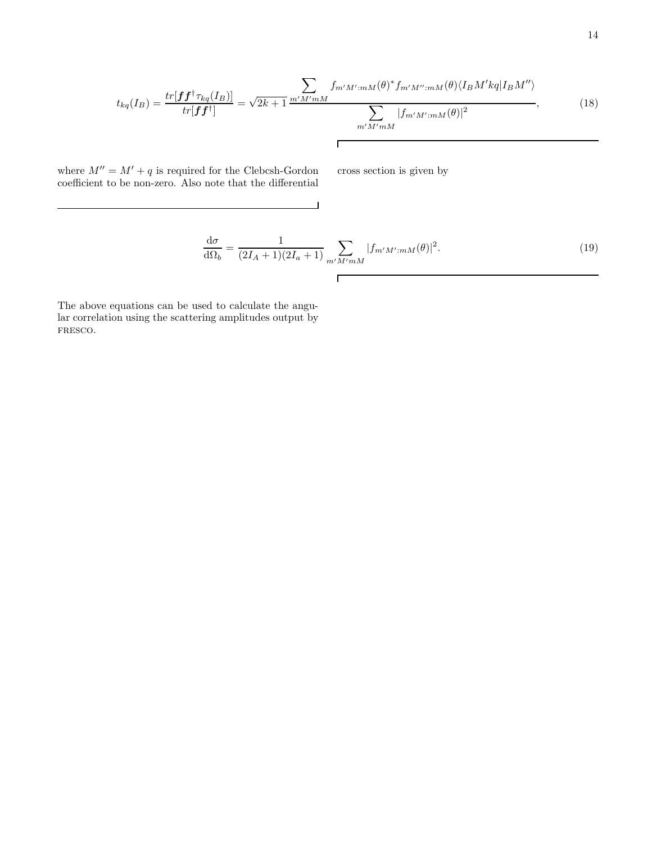$$
t_{kq}(I_B) = \frac{tr[\boldsymbol{f}\boldsymbol{f}^\dagger \tau_{kq}(I_B)]}{tr[\boldsymbol{f}\boldsymbol{f}^\dagger]} = \sqrt{2k+1} \frac{\sum_{m'M'mM} f_{m'M'mM}(\theta)^* f_{m'M'':mM}(\theta) \langle I_B M' kq | I_B M'' \rangle}{\sum_{m'M'mM} |f_{m'M'mM}(\theta)|^2}, \tag{18}
$$

 $\overline{\phantom{a}}$ 

 $\Gamma$ 

where  $M'' = M' + q$  is required for the Clebcsh-Gordon coefficient to be non-zero. Also note that the differential cross section is given by

$$
\frac{d\sigma}{d\Omega_b} = \frac{1}{(2I_A + 1)(2I_a + 1)} \sum_{m'M'mM} |f_{m'M'mM}(\theta)|^2.
$$
\n(19)

The above equations can be used to calculate the angular correlation using the scattering amplitudes output by fresco.